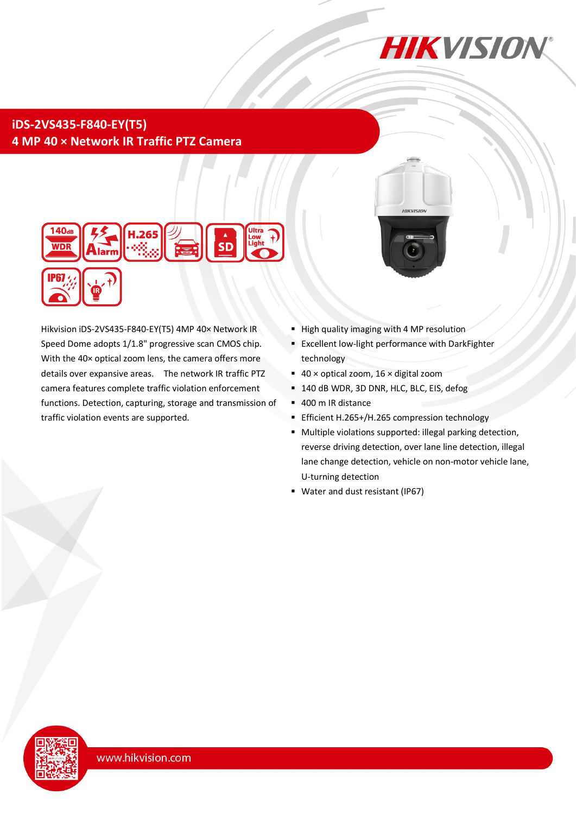

# **iDS-2VS435-F840-EY(T5) 4 MP 40 × Network IR Traffic PTZ Camera**



Hikvision iDS-2VS435-F840-EY(T5) 4MP 40× Network IR Speed Dome adopts 1/1.8" progressive scan CMOS chip. With the 40× optical zoom lens, the camera offers more details over expansive areas. The network IR traffic PTZ camera features complete traffic violation enforcement functions. Detection, capturing, storage and transmission of traffic violation events are supported.



- High quality imaging with 4 MP resolution
- **Excellent low-light performance with DarkFighter** technology
- $\blacksquare$  40 × optical zoom, 16 × digital zoom
- <sup>1</sup> 140 dB WDR, 3D DNR, HLC, BLC, EIS, defog
- 400 m IR distance
- Efficient H.265+/H.265 compression technology
- Multiple violations supported: illegal parking detection, reverse driving detection, over lane line detection, illegal lane change detection, vehicle on non-motor vehicle lane, U-turning detection
- **Water and dust resistant (IP67)**

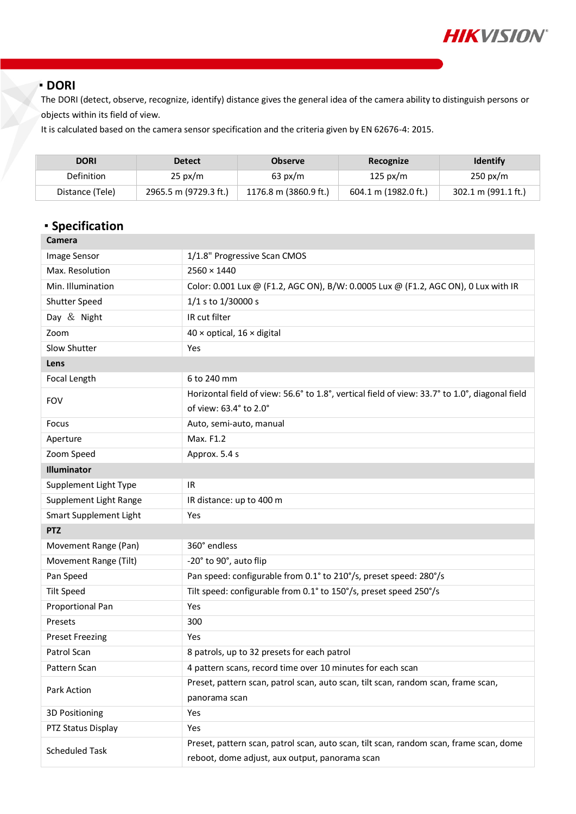

#### **DORI**

The DORI (detect, observe, recognize, identify) distance gives the general idea of the camera ability to distinguish persons or objects within its field of view.

It is calculated based on the camera sensor specification and the criteria given by EN 62676-4: 2015.

| <b>DORI</b>       | <b>Detect</b>         | <b>Observe</b>        | Recognize            | <b>Identify</b>     |
|-------------------|-----------------------|-----------------------|----------------------|---------------------|
| <b>Definition</b> | $25 \text{ px/m}$     | $63 \text{ px/m}$     | 125 px/m             | $250 \text{ px/m}$  |
| Distance (Tele)   | 2965.5 m (9729.3 ft.) | 1176.8 m (3860.9 ft.) | 604.1 m (1982.0 ft.) | 302.1 m (991.1 ft.) |

# **Specification**

| Camera                 |                                                                                                                                          |  |  |
|------------------------|------------------------------------------------------------------------------------------------------------------------------------------|--|--|
| Image Sensor           | 1/1.8" Progressive Scan CMOS                                                                                                             |  |  |
| Max. Resolution        | $2560 \times 1440$                                                                                                                       |  |  |
| Min. Illumination      | Color: 0.001 Lux @ (F1.2, AGC ON), B/W: 0.0005 Lux @ (F1.2, AGC ON), 0 Lux with IR                                                       |  |  |
| Shutter Speed          | 1/1 s to 1/30000 s                                                                                                                       |  |  |
| Day & Night            | IR cut filter                                                                                                                            |  |  |
| Zoom                   | $40 \times$ optical, $16 \times$ digital                                                                                                 |  |  |
| Slow Shutter           | Yes                                                                                                                                      |  |  |
| Lens                   |                                                                                                                                          |  |  |
| Focal Length           | 6 to 240 mm                                                                                                                              |  |  |
| <b>FOV</b>             | Horizontal field of view: 56.6° to 1.8°, vertical field of view: 33.7° to 1.0°, diagonal field<br>of view: 63.4° to 2.0°                 |  |  |
| Focus                  | Auto, semi-auto, manual                                                                                                                  |  |  |
| Aperture               | Max. F1.2                                                                                                                                |  |  |
| Zoom Speed             | Approx. 5.4 s                                                                                                                            |  |  |
| Illuminator            |                                                                                                                                          |  |  |
| Supplement Light Type  | IR                                                                                                                                       |  |  |
| Supplement Light Range | IR distance: up to 400 m                                                                                                                 |  |  |
| Smart Supplement Light | Yes                                                                                                                                      |  |  |
| <b>PTZ</b>             |                                                                                                                                          |  |  |
| Movement Range (Pan)   | 360° endless                                                                                                                             |  |  |
| Movement Range (Tilt)  | -20° to 90°, auto flip                                                                                                                   |  |  |
| Pan Speed              | Pan speed: configurable from 0.1° to 210°/s, preset speed: 280°/s                                                                        |  |  |
| <b>Tilt Speed</b>      | Tilt speed: configurable from 0.1° to 150°/s, preset speed 250°/s                                                                        |  |  |
| Proportional Pan       | Yes                                                                                                                                      |  |  |
| Presets                | 300                                                                                                                                      |  |  |
| <b>Preset Freezing</b> | Yes                                                                                                                                      |  |  |
| Patrol Scan            | 8 patrols, up to 32 presets for each patrol                                                                                              |  |  |
| Pattern Scan           | 4 pattern scans, record time over 10 minutes for each scan                                                                               |  |  |
| Park Action            | Preset, pattern scan, patrol scan, auto scan, tilt scan, random scan, frame scan,<br>panorama scan                                       |  |  |
| 3D Positioning         | Yes                                                                                                                                      |  |  |
| PTZ Status Display     | Yes                                                                                                                                      |  |  |
| <b>Scheduled Task</b>  | Preset, pattern scan, patrol scan, auto scan, tilt scan, random scan, frame scan, dome<br>reboot, dome adjust, aux output, panorama scan |  |  |
|                        |                                                                                                                                          |  |  |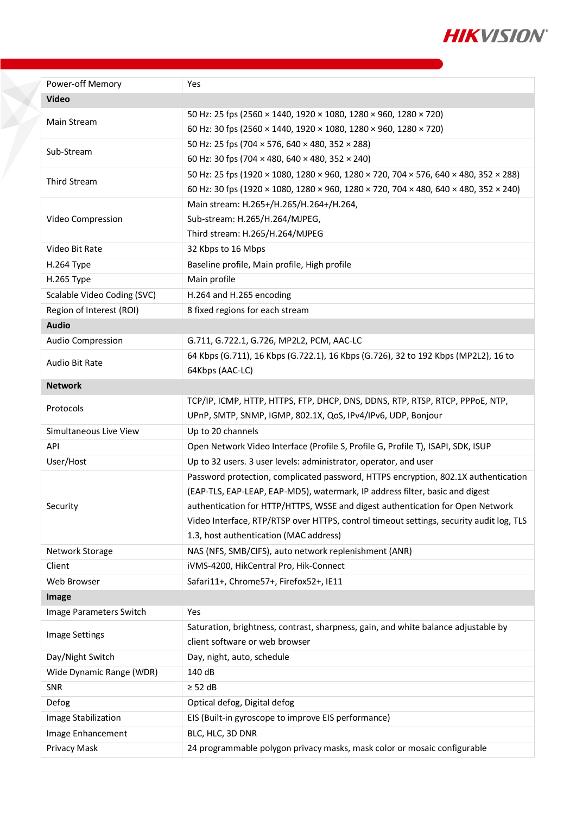

| Power-off Memory            | Yes                                                                                     |  |  |
|-----------------------------|-----------------------------------------------------------------------------------------|--|--|
| <b>Video</b>                |                                                                                         |  |  |
| Main Stream                 | 50 Hz: 25 fps (2560 × 1440, 1920 × 1080, 1280 × 960, 1280 × 720)                        |  |  |
|                             | 60 Hz: 30 fps (2560 × 1440, 1920 × 1080, 1280 × 960, 1280 × 720)                        |  |  |
| Sub-Stream                  | 50 Hz: 25 fps (704 × 576, 640 × 480, 352 × 288)                                         |  |  |
|                             | 60 Hz: 30 fps (704 × 480, 640 × 480, 352 × 240)                                         |  |  |
| Third Stream                | 50 Hz: 25 fps (1920 × 1080, 1280 × 960, 1280 × 720, 704 × 576, 640 × 480, 352 × 288)    |  |  |
|                             | 60 Hz: 30 fps (1920 × 1080, 1280 × 960, 1280 × 720, 704 × 480, 640 × 480, 352 × 240)    |  |  |
|                             | Main stream: H.265+/H.265/H.264+/H.264,                                                 |  |  |
| Video Compression           | Sub-stream: H.265/H.264/MJPEG,                                                          |  |  |
|                             | Third stream: H.265/H.264/MJPEG                                                         |  |  |
| Video Bit Rate              | 32 Kbps to 16 Mbps                                                                      |  |  |
| H.264 Type                  | Baseline profile, Main profile, High profile                                            |  |  |
| H.265 Type                  | Main profile                                                                            |  |  |
| Scalable Video Coding (SVC) | H.264 and H.265 encoding                                                                |  |  |
| Region of Interest (ROI)    | 8 fixed regions for each stream                                                         |  |  |
| <b>Audio</b>                |                                                                                         |  |  |
| Audio Compression           | G.711, G.722.1, G.726, MP2L2, PCM, AAC-LC                                               |  |  |
| Audio Bit Rate              | 64 Kbps (G.711), 16 Kbps (G.722.1), 16 Kbps (G.726), 32 to 192 Kbps (MP2L2), 16 to      |  |  |
|                             | 64Kbps (AAC-LC)                                                                         |  |  |
| <b>Network</b>              |                                                                                         |  |  |
| Protocols                   | TCP/IP, ICMP, HTTP, HTTPS, FTP, DHCP, DNS, DDNS, RTP, RTSP, RTCP, PPPOE, NTP,           |  |  |
|                             | UPnP, SMTP, SNMP, IGMP, 802.1X, QoS, IPv4/IPv6, UDP, Bonjour                            |  |  |
| Simultaneous Live View      | Up to 20 channels                                                                       |  |  |
| API                         | Open Network Video Interface (Profile S, Profile G, Profile T), ISAPI, SDK, ISUP        |  |  |
| User/Host                   | Up to 32 users. 3 user levels: administrator, operator, and user                        |  |  |
|                             | Password protection, complicated password, HTTPS encryption, 802.1X authentication      |  |  |
|                             | (EAP-TLS, EAP-LEAP, EAP-MD5), watermark, IP address filter, basic and digest            |  |  |
| Security                    | authentication for HTTP/HTTPS, WSSE and digest authentication for Open Network          |  |  |
|                             | Video Interface, RTP/RTSP over HTTPS, control timeout settings, security audit log, TLS |  |  |
|                             | 1.3, host authentication (MAC address)                                                  |  |  |
| Network Storage             | NAS (NFS, SMB/CIFS), auto network replenishment (ANR)                                   |  |  |
| Client                      | iVMS-4200, HikCentral Pro, Hik-Connect                                                  |  |  |
| Web Browser                 | Safari11+, Chrome57+, Firefox52+, IE11                                                  |  |  |
| Image                       |                                                                                         |  |  |
| Image Parameters Switch     | Yes                                                                                     |  |  |
| <b>Image Settings</b>       | Saturation, brightness, contrast, sharpness, gain, and white balance adjustable by      |  |  |
|                             | client software or web browser                                                          |  |  |
| Day/Night Switch            | Day, night, auto, schedule                                                              |  |  |
| Wide Dynamic Range (WDR)    | 140 dB                                                                                  |  |  |
| <b>SNR</b>                  | $\geq$ 52 dB                                                                            |  |  |
| Defog                       | Optical defog, Digital defog                                                            |  |  |
| Image Stabilization         | EIS (Built-in gyroscope to improve EIS performance)                                     |  |  |
| Image Enhancement           | BLC, HLC, 3D DNR                                                                        |  |  |
| Privacy Mask                | 24 programmable polygon privacy masks, mask color or mosaic configurable                |  |  |

X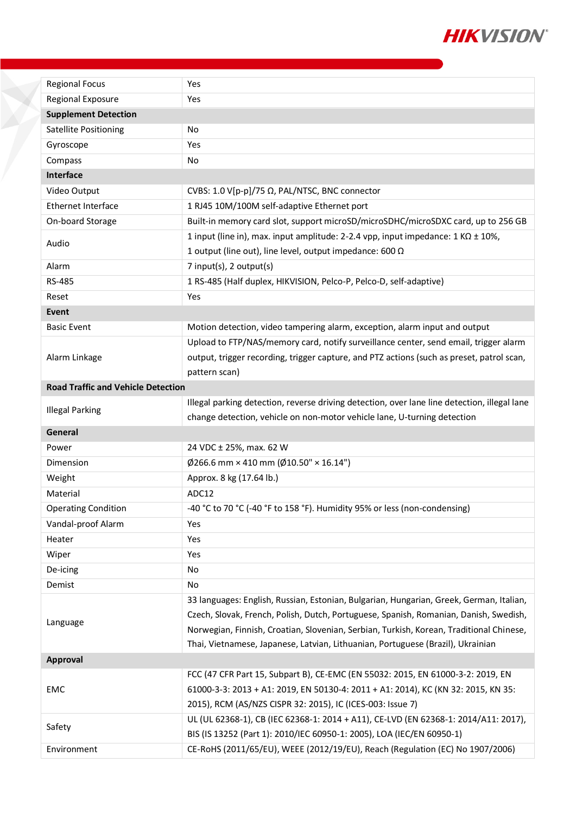

| <b>Regional Focus</b>                     | Yes                                                                                          |
|-------------------------------------------|----------------------------------------------------------------------------------------------|
| <b>Regional Exposure</b>                  | Yes                                                                                          |
| <b>Supplement Detection</b>               |                                                                                              |
| <b>Satellite Positioning</b>              | No                                                                                           |
| Gyroscope                                 | Yes                                                                                          |
| Compass                                   | No                                                                                           |
| Interface                                 |                                                                                              |
| Video Output                              | CVBS: 1.0 V[p-p]/75 Ω, PAL/NTSC, BNC connector                                               |
| <b>Ethernet Interface</b>                 | 1 RJ45 10M/100M self-adaptive Ethernet port                                                  |
| On-board Storage                          | Built-in memory card slot, support microSD/microSDHC/microSDXC card, up to 256 GB            |
|                                           | 1 input (line in), max. input amplitude: 2-2.4 vpp, input impedance: $1 K\Omega \pm 10\%$ ,  |
| Audio                                     | 1 output (line out), line level, output impedance: 600 $\Omega$                              |
| Alarm                                     | 7 input(s), 2 output(s)                                                                      |
| RS-485                                    | 1 RS-485 (Half duplex, HIKVISION, Pelco-P, Pelco-D, self-adaptive)                           |
| Reset                                     | Yes                                                                                          |
| Event                                     |                                                                                              |
| <b>Basic Event</b>                        | Motion detection, video tampering alarm, exception, alarm input and output                   |
|                                           | Upload to FTP/NAS/memory card, notify surveillance center, send email, trigger alarm         |
| Alarm Linkage                             | output, trigger recording, trigger capture, and PTZ actions (such as preset, patrol scan,    |
|                                           | pattern scan)                                                                                |
| <b>Road Traffic and Vehicle Detection</b> |                                                                                              |
|                                           | Illegal parking detection, reverse driving detection, over lane line detection, illegal lane |
| <b>Illegal Parking</b>                    | change detection, vehicle on non-motor vehicle lane, U-turning detection                     |
| General                                   |                                                                                              |
| Power                                     | 24 VDC ± 25%, max. 62 W                                                                      |
| Dimension                                 | $\emptyset$ 266.6 mm × 410 mm ( $\emptyset$ 10.50" × 16.14")                                 |
| Weight                                    | Approx. 8 kg (17.64 lb.)                                                                     |
| Material                                  | ADC12                                                                                        |
| <b>Operating Condition</b>                | -40 °C to 70 °C (-40 °F to 158 °F). Humidity 95% or less (non-condensing)                    |
| Vandal-proof Alarm                        | Yes                                                                                          |
| Heater                                    | Yes                                                                                          |
| Wiper                                     | Yes                                                                                          |
| De-icing                                  | No                                                                                           |
| Demist                                    | No                                                                                           |
|                                           | 33 languages: English, Russian, Estonian, Bulgarian, Hungarian, Greek, German, Italian,      |
|                                           | Czech, Slovak, French, Polish, Dutch, Portuguese, Spanish, Romanian, Danish, Swedish,        |
| Language                                  | Norwegian, Finnish, Croatian, Slovenian, Serbian, Turkish, Korean, Traditional Chinese,      |
|                                           | Thai, Vietnamese, Japanese, Latvian, Lithuanian, Portuguese (Brazil), Ukrainian              |
| Approval                                  |                                                                                              |
|                                           | FCC (47 CFR Part 15, Subpart B), CE-EMC (EN 55032: 2015, EN 61000-3-2: 2019, EN              |
| EMC                                       | 61000-3-3: 2013 + A1: 2019, EN 50130-4: 2011 + A1: 2014), KC (KN 32: 2015, KN 35:            |
|                                           | 2015), RCM (AS/NZS CISPR 32: 2015), IC (ICES-003: Issue 7)                                   |
| Safety                                    | UL (UL 62368-1), CB (IEC 62368-1: 2014 + A11), CE-LVD (EN 62368-1: 2014/A11: 2017),          |
|                                           |                                                                                              |
|                                           | BIS (IS 13252 (Part 1): 2010/IEC 60950-1: 2005), LOA (IEC/EN 60950-1)                        |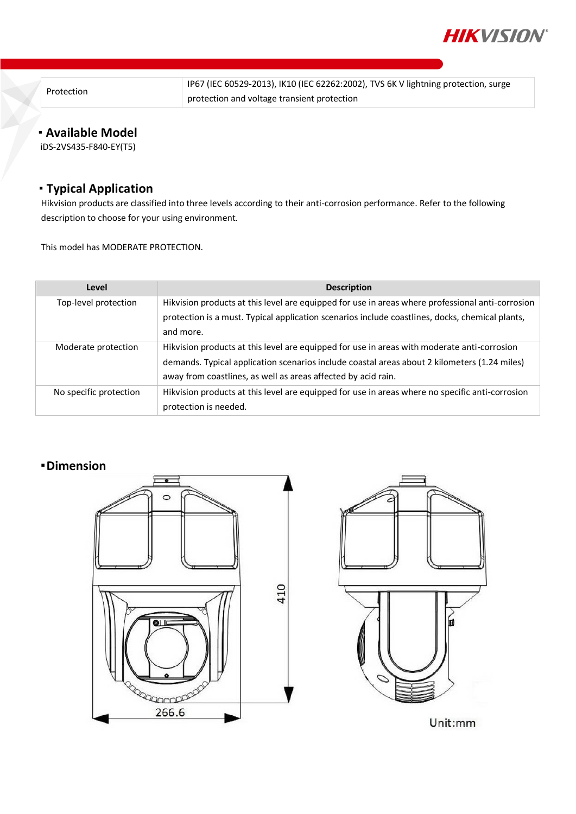

Protection

IP67 (IEC 60529-2013), IK10 (IEC 62262:2002), TVS 6K V lightning protection, surge protection and voltage transient protection

## **Available Model**

iDS-2VS435-F840-EY(T5)

## **Typical Application**

Hikvision products are classified into three levels according to their anti-corrosion performance. Refer to the following description to choose for your using environment.

This model has MODERATE PROTECTION.

| Level                  | <b>Description</b>                                                                                                                                                                                                                                           |
|------------------------|--------------------------------------------------------------------------------------------------------------------------------------------------------------------------------------------------------------------------------------------------------------|
| Top-level protection   | Hikvision products at this level are equipped for use in areas where professional anti-corrosion<br>protection is a must. Typical application scenarios include coastlines, docks, chemical plants,<br>and more.                                             |
| Moderate protection    | Hikvision products at this level are equipped for use in areas with moderate anti-corrosion<br>demands. Typical application scenarios include coastal areas about 2 kilometers (1.24 miles)<br>away from coastlines, as well as areas affected by acid rain. |
| No specific protection | Hikvision products at this level are equipped for use in areas where no specific anti-corrosion<br>protection is needed.                                                                                                                                     |

### **Dimension**





Unit:mm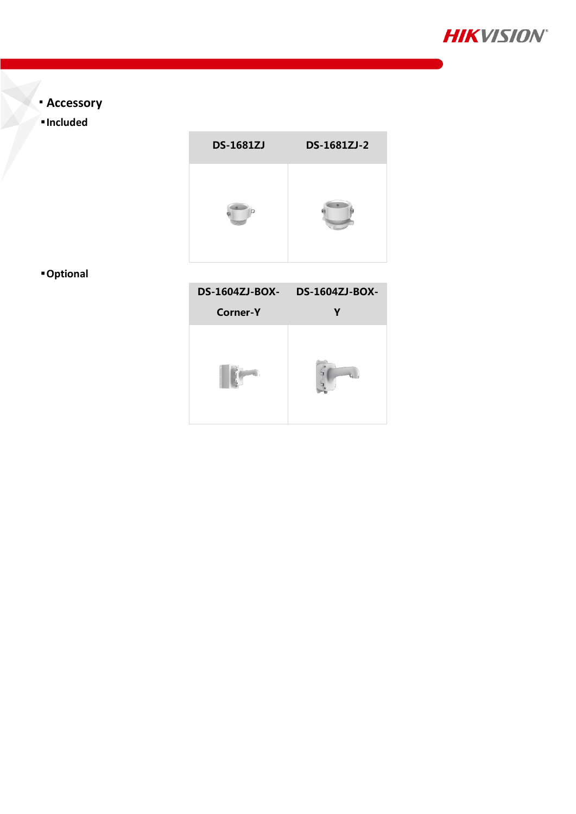

- **Accessory**
- **Included**



**Optional**